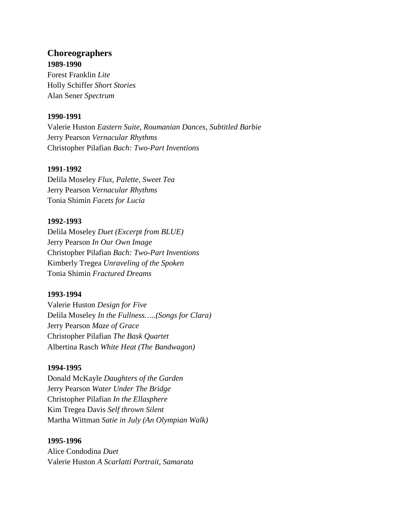# **Choreographers 1989-1990**

Forest Franklin *Lite* Holly Schiffer *Short Stories* Alan Sener *Spectrum*

## **1990-1991**

Valerie Huston *Eastern Suite, Roumanian Dances, Subtitled Barbie* Jerry Pearson *Vernacular Rhythms* Christopher Pilafian *Bach: Two-Part Inventions*

### **1991-1992**

Delila Moseley *Flux, Palette, Sweet Tea* Jerry Pearson *Vernacular Rhythms* Tonia Shimin *Facets for Lucia*

## **1992-1993**

Delila Moseley *Duet (Excerpt from BLUE)* Jerry Pearson *In Our Own Image* Christopher Pilafian *Bach: Two-Part Inventions* Kimberly Tregea *Unraveling of the Spoken* Tonia Shimin *Fractured Dreams*

## **1993-1994**

Valerie Huston *Design for Five* Delila Moseley *In the Fullness…..(Songs for Clara)* Jerry Pearson *Maze of Grace* Christopher Pilafian *The Bask Quartet* Albertina Rasch *White Heat (The Bandwagon)*

### **1994-1995**

Donald McKayle *Daughters of the Garden*  Jerry Pearson *Water Under The Bridge* Christopher Pilafian *In the Ellasphere* Kim Tregea Davis *Self thrown Silent* Martha Wittman *Satie in July (An Olympian Walk)*

## **1995-1996**

Alice Condodina *Duet* Valerie Huston *A Scarlatti Portrait, Samarata*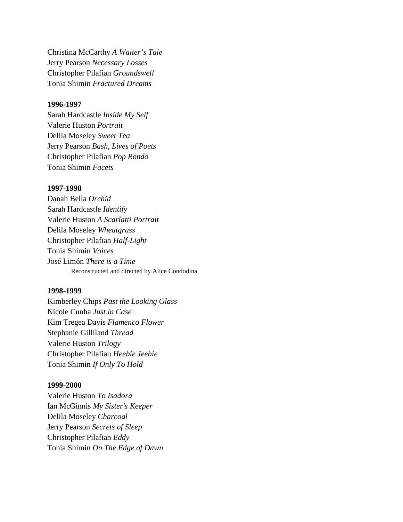Christina McCarthy *A Waiter's Tale* Jerry Pearson *Necessary Losses* Christopher Pilafian *Groundswell* Tonia Shimin *Fractured Dreams*

#### **1996-1997**

Sarah Hardcastle *Inside My Self* Valerie Huston *Portrait* Delila Moseley *Sweet Tea* Jerry Pearson *Bash, Lives of Poets* Christopher Pilafian *Pop Rondo* Tonia Shimin *Facets*

#### **1997-1998**

Danah Bella *Orchid* Sarah Hardcastle *Identify* Valerie Huston *A Scarlatti Portrait* Delila Moseley *Wheatgrass* Christopher Pilafian *Half-Light* Tonia Shimin *Voices* José Limón *There is a Time* Reconstructed and directed by Alice Condodina

#### **1998-1999**

Kimberley Chips *Past the Looking Glass* Nicole Cunha *Just in Case* Kim Tregea Davis *Flamenco Flower* Stephanie Gilliland *Thread* Valerie Huston *Trilogy* Christopher Pilafian *Heebie Jeebie* Tonia Shimin *If Only To Hold*

#### **1999-2000**

Valerie Huston *To Isadora* Ian McGinnis *My Sister's Keeper* Delila Moseley *Charcoal* Jerry Pearson *Secrets of Sleep* Christopher Pilafian *Eddy* Tonia Shimin *On The Edge of Dawn*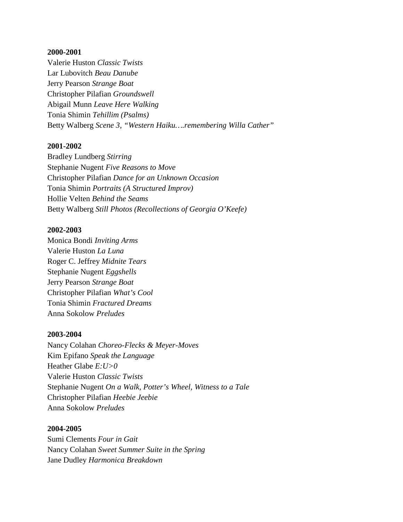### **2000-2001**

Valerie Huston *Classic Twists* Lar Lubovitch *Beau Danube* Jerry Pearson *Strange Boat* Christopher Pilafian *Groundswell* Abigail Munn *Leave Here Walking* Tonia Shimin *Tehillim (Psalms)* Betty Walberg *Scene 3, "Western Haiku….remembering Willa Cather"*

## **2001-2002**

Bradley Lundberg *Stirring* Stephanie Nugent *Five Reasons to Move* Christopher Pilafian *Dance for an Unknown Occasion* Tonia Shimin *Portraits (A Structured Improv)* Hollie Velten *Behind the Seams* Betty Walberg *Still Photos (Recollections of Georgia O'Keefe)*

#### **2002-2003**

Monica Bondi *Inviting Arms* Valerie Huston *La Luna* Roger C. Jeffrey *Midnite Tears* Stephanie Nugent *Eggshells* Jerry Pearson *Strange Boat* Christopher Pilafian *What's Cool* Tonia Shimin *Fractured Dreams* Anna Sokolow *Preludes*

## **2003-2004**

Nancy Colahan *Choreo-Flecks & Meyer-Moves* Kim Epifano *Speak the Language* Heather Glabe *E:U>0* Valerie Huston *Classic Twists* Stephanie Nugent *On a Walk, Potter's Wheel, Witness to a Tale* Christopher Pilafian *Heebie Jeebie* Anna Sokolow *Preludes*

### **2004-2005**

Sumi Clements *Four in Gait* Nancy Colahan *Sweet Summer Suite in the Spring* Jane Dudley *Harmonica Breakdown*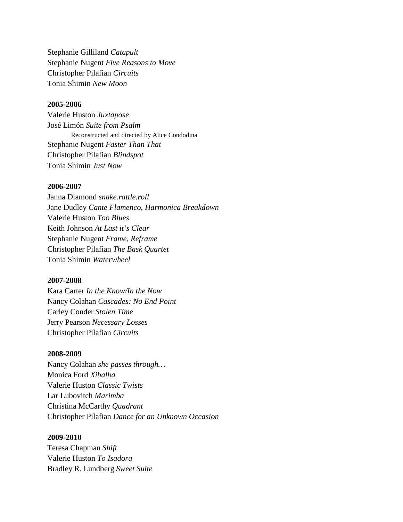Stephanie Gilliland *Catapult*  Stephanie Nugent *Five Reasons to Move* Christopher Pilafian *Circuits* Tonia Shimin *New Moon*

#### **2005-2006**

Valerie Huston *Juxtapose* José Limón *Suite from Psalm* Reconstructed and directed by Alice Condodina Stephanie Nugent *Faster Than That* Christopher Pilafian *Blindspot* Tonia Shimin *Just Now*

### **2006-2007**

Janna Diamond *snake.rattle.roll* Jane Dudley *Cante Flamenco, Harmonica Breakdown* Valerie Huston *Too Blues* Keith Johnson *At Last it's Clear* Stephanie Nugent *Frame, Reframe* Christopher Pilafian *The Bask Quartet* Tonia Shimin *Waterwheel*

### **2007-2008**

Kara Carter *In the Know/In the Now* Nancy Colahan *Cascades: No End Point* Carley Conder *Stolen Time* Jerry Pearson *Necessary Losses* Christopher Pilafian *Circuits*

#### **2008-2009**

Nancy Colahan *she passes through…* Monica Ford *Xibalba* Valerie Huston *Classic Twists* Lar Lubovitch *Marimba* Christina McCarthy *Quadrant* Christopher Pilafian *Dance for an Unknown Occasion*

#### **2009-2010**

Teresa Chapman *Shift* Valerie Huston *To Isadora* Bradley R. Lundberg *Sweet Suite*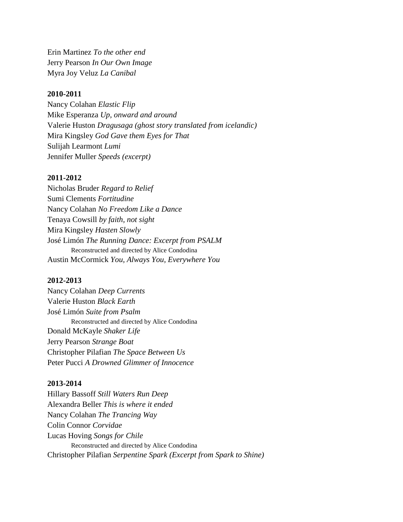Erin Martinez *To the other end* Jerry Pearson *In Our Own Image* Myra Joy Veluz *La Canibal* 

#### **2010-2011**

Nancy Colahan *Elastic Flip* Mike Esperanza *Up, onward and around* Valerie Huston *Dragusaga (ghost story translated from icelandic)* Mira Kingsley *God Gave them Eyes for That* Sulijah Learmont *Lumi* Jennifer Muller *Speeds (excerpt)*

### **2011-2012**

Nicholas Bruder *Regard to Relief* Sumi Clements *Fortitudine* Nancy Colahan *No Freedom Like a Dance* Tenaya Cowsill *by faith, not sight* Mira Kingsley *Hasten Slowly* José Limón *The Running Dance: Excerpt from PSALM* Reconstructed and directed by Alice Condodina Austin McCormick *You, Always You, Everywhere You*

#### **2012-2013**

Nancy Colahan *Deep Currents* Valerie Huston *Black Earth* José Limón *Suite from Psalm* Reconstructed and directed by Alice Condodina Donald McKayle *Shaker Life* Jerry Pearson *Strange Boat* Christopher Pilafian *The Space Between Us* Peter Pucci *A Drowned Glimmer of Innocence*

### **2013-2014**

Hillary Bassoff *Still Waters Run Deep* Alexandra Beller *This is where it ended* Nancy Colahan *The Trancing Way* Colin Connor *Corvidae* Lucas Hoving *Songs for Chile* Reconstructed and directed by Alice Condodina Christopher Pilafian *Serpentine Spark (Excerpt from Spark to Shine)*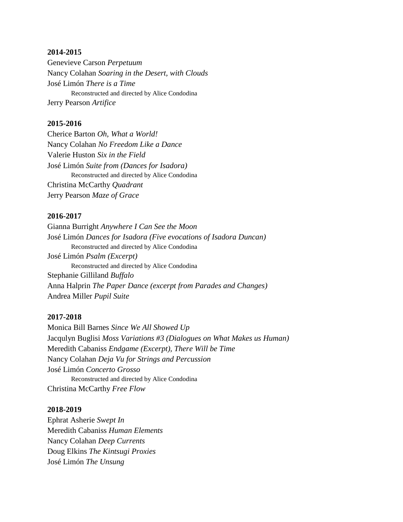### **2014-2015**

Genevieve Carson *Perpetuum*  Nancy Colahan *Soaring in the Desert, with Clouds* José Limón *There is a Time* Reconstructed and directed by Alice Condodina Jerry Pearson *Artifice*

### **2015-2016**

Cherice Barton *Oh, What a World!* Nancy Colahan *No Freedom Like a Dance* Valerie Huston *Six in the Field* José Limón *Suite from (Dances for Isadora)* Reconstructed and directed by Alice Condodina Christina McCarthy *Quadrant*  Jerry Pearson *Maze of Grace*

### **2016-2017**

Gianna Burright *Anywhere I Can See the Moon* José Limón *Dances for Isadora (Five evocations of Isadora Duncan)* Reconstructed and directed by Alice Condodina José Limón *Psalm (Excerpt)* Reconstructed and directed by Alice Condodina Stephanie Gilliland *Buffalo* Anna Halprin *The Paper Dance (excerpt from Parades and Changes)* Andrea Miller *Pupil Suite* 

### **2017-2018**

Monica Bill Barnes *Since We All Showed Up* Jacqulyn Buglisi *Moss Variations #3 (Dialogues on What Makes us Human)* Meredith Cabaniss *Endgame (Excerpt), There Will be Time* Nancy Colahan *Deja Vu for Strings and Percussion* José Limón *Concerto Grosso* Reconstructed and directed by Alice Condodina Christina McCarthy *Free Flow*

#### **2018-2019**

Ephrat Asherie *Swept In* Meredith Cabaniss *Human Elements* Nancy Colahan *Deep Currents* Doug Elkins *The Kintsugi Proxies* José Limón *The Unsung*